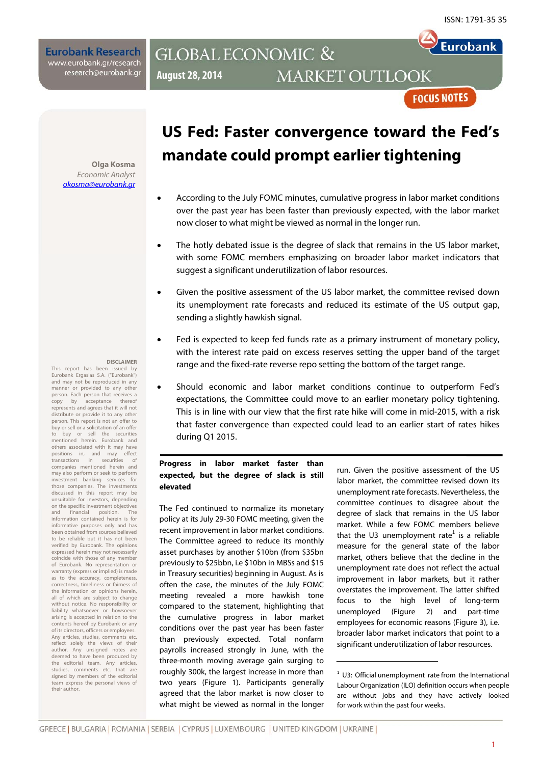**Eurobank** 

**Eurobank Research** www.eurobank.gr/research research@eurobank.gr

## **GLOBAL ECONOMIC & MARKET OUTLOOK August 28, 2014**

**FOCUS NOTES** 

**Olga Kosma**  Economic Analyst okosma@eurobank.gr

## **DISCLAIMER**

This report has been issued by Eurobank Ergasias S.A. ("Eurobank") and may not be reproduced in any manner or provided to any other person. Each person that receives a copy by acceptance thereof represents and agrees that it will not distribute or provide it to any other person. This report is not an offer to buy or sell or a solicitation of an offer to buy or sell the securities mentioned herein. Eurobank and others associated with it may have positions in, and may effect transactions in securities of companies mentioned herein and may also perform or seek to perform investment banking services for those companies. The investments discussed in this report may be unsuitable for investors, depending on the specific investment objectives and financial position. The information contained herein is for informative purposes only and has been obtained from sources believed to be reliable but it has not been verified by Eurobank. The opinions expressed herein may not necessarily coincide with those of any member of Eurobank. No representation or warranty (express or implied) is made as to the accuracy, completeness, correctness, timeliness or fairness of the information or opinions herein, all of which are subject to change without notice. No responsibility or liability whatsoever or howsoever arising is accepted in relation to the contents hereof by Eurobank or any of its directors, officers or employees. Any articles, studies, comments etc. reflect solely the views of their author. Any unsigned notes are deemed to have been produced by the editorial team. Any articles, studies, comments etc. that are signed by members of the editorial team express the personal views of their author.

# **US Fed: Faster convergence toward the Fed's mandate could prompt earlier tightening**

- According to the July FOMC minutes, cumulative progress in labor market conditions over the past year has been faster than previously expected, with the labor market now closer to what might be viewed as normal in the longer run.
- The hotly debated issue is the degree of slack that remains in the US labor market, with some FOMC members emphasizing on broader labor market indicators that suggest a significant underutilization of labor resources.
- Given the positive assessment of the US labor market, the committee revised down its unemployment rate forecasts and reduced its estimate of the US output gap, sending a slightly hawkish signal.
- Fed is expected to keep fed funds rate as a primary instrument of monetary policy, with the interest rate paid on excess reserves setting the upper band of the target range and the fixed-rate reverse repo setting the bottom of the target range.
- Should economic and labor market conditions continue to outperform Fed's expectations, the Committee could move to an earlier monetary policy tightening. This is in line with our view that the first rate hike will come in mid-2015, with a risk that faster convergence than expected could lead to an earlier start of rates hikes during Q1 2015.

### **Progress in labor market faster than expected, but the degree of slack is still elevated**

The Fed continued to normalize its monetary policy at its July 29-30 FOMC meeting, given the recent improvement in labor market conditions. The Committee agreed to reduce its monthly asset purchases by another \$10bn (from \$35bn previously to \$25bbn, i.e \$10bn in MBSs and \$15 in Treasury securities) beginning in August. As is often the case, the minutes of the July FOMC meeting revealed a more hawkish tone compared to the statement, highlighting that the cumulative progress in labor market conditions over the past year has been faster than previously expected. Total nonfarm payrolls increased strongly in June, with the three-month moving average gain surging to roughly 300k, the largest increase in more than two years (Figure 1). Participants generally agreed that the labor market is now closer to what might be viewed as normal in the longer run. Given the positive assessment of the US labor market, the committee revised down its unemployment rate forecasts. Nevertheless, the committee continues to disagree about the degree of slack that remains in the US labor market. While a few FOMC members believe that the U3 unemployment rate<sup>1</sup> is a reliable measure for the general state of the labor market, others believe that the decline in the unemployment rate does not reflect the actual improvement in labor markets, but it rather overstates the improvement. The latter shifted focus to the high level of long-term unemployed (Figure 2) and part-time employees for economic reasons (Figure 3), i.e. broader labor market indicators that point to a significant underutilization of labor resources.

 $1$  U3: Official unemployment rate from the International Labour Organization (ILO) definition occurs when people are without jobs and they have actively looked for work within the past four weeks.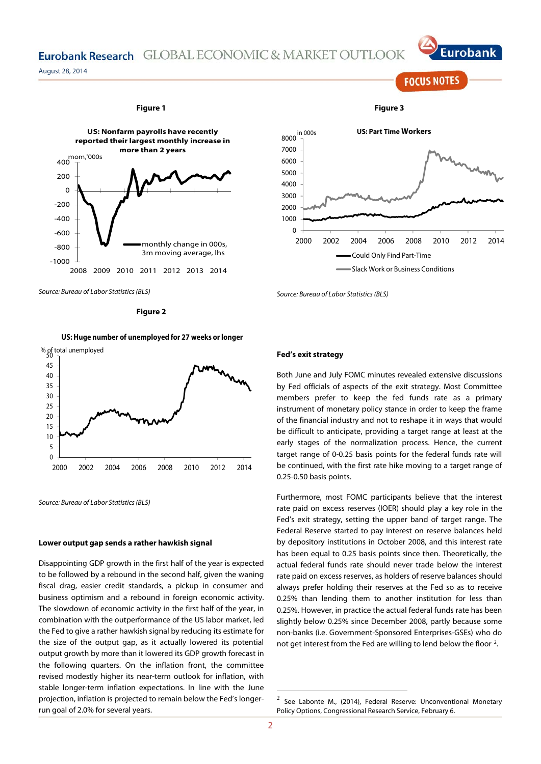## Eurobank Research GLOBAL ECONOMIC & MARKET OUTLOOK

August 28, 2014



Source: Bureau of Labor Statistics (BLS)

**Figure 2** 

#### **US: Huge number of unemployed for 27 weeks or longer**



Source: Bureau of Labor Statistics (BLS)

#### **Lower output gap sends a rather hawkish signal**

Disappointing GDP growth in the first half of the year is expected to be followed by a rebound in the second half, given the waning fiscal drag, easier credit standards, a pickup in consumer and business optimism and a rebound in foreign economic activity. The slowdown of economic activity in the first half of the year, in combination with the outperformance of the US labor market, led the Fed to give a rather hawkish signal by reducing its estimate for the size of the output gap, as it actually lowered its potential output growth by more than it lowered its GDP growth forecast in the following quarters. On the inflation front, the committee revised modestly higher its near-term outlook for inflation, with stable longer-term inflation expectations. In line with the June projection, inflation is projected to remain below the Fed's longerrun goal of 2.0% for several years.



Source: Bureau of Labor Statistics (BLS)

#### **Fed's exit strategy**

Both June and July FOMC minutes revealed extensive discussions by Fed officials of aspects of the exit strategy. Most Committee members prefer to keep the fed funds rate as a primary instrument of monetary policy stance in order to keep the frame of the financial industry and not to reshape it in ways that would be difficult to anticipate, providing a target range at least at the early stages of the normalization process. Hence, the current target range of 0-0.25 basis points for the federal funds rate will be continued, with the first rate hike moving to a target range of 0.25-0.50 basis points.

Furthermore, most FOMC participants believe that the interest rate paid on excess reserves (IOER) should play a key role in the Fed's exit strategy, setting the upper band of target range. The Federal Reserve started to pay interest on reserve balances held by depository institutions in October 2008, and this interest rate has been equal to 0.25 basis points since then. Theoretically, the actual federal funds rate should never trade below the interest rate paid on excess reserves, as holders of reserve balances should always prefer holding their reserves at the Fed so as to receive 0.25% than lending them to another institution for less than 0.25%. However, in practice the actual federal funds rate has been slightly below 0.25% since December 2008, partly because some non-banks (i.e. Government-Sponsored Enterprises-GSEs) who do not get interest from the Fed are willing to lend below the floor  $2$ .

**FOCUS NOTES** 



 $2$  See Labonte M., (2014), Federal Reserve: Unconventional Monetary Policy Options, Congressional Research Service, February 6.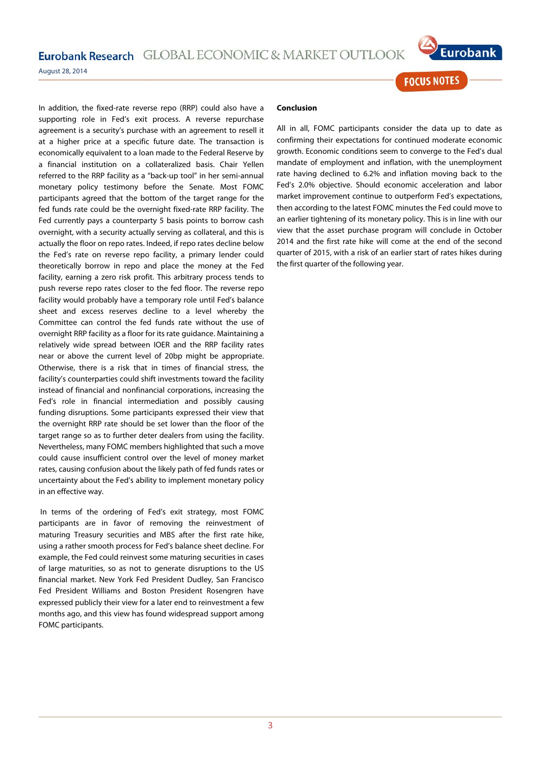Eurobank Research GLOBAL ECONOMIC & MARKET OUTLOOK



**FOCUS NOTES** 

August 28, 2014

In addition, the fixed-rate reverse repo (RRP) could also have a supporting role in Fed's exit process. A reverse repurchase agreement is a security's purchase with an agreement to resell it at a higher price at a specific future date. The transaction is economically equivalent to a loan made to the Federal Reserve by a financial institution on a collateralized basis. Chair Yellen referred to the RRP facility as a "back-up tool" in her semi-annual monetary policy testimony before the Senate. Most FOMC participants agreed that the bottom of the target range for the fed funds rate could be the overnight fixed-rate RRP facility. The Fed currently pays a counterparty 5 basis points to borrow cash overnight, with a security actually serving as collateral, and this is actually the floor on repo rates. Indeed, if repo rates decline below the Fed's rate on reverse repo facility, a primary lender could theoretically borrow in repo and place the money at the Fed facility, earning a zero risk profit. This arbitrary process tends to push reverse repo rates closer to the fed floor. The reverse repo facility would probably have a temporary role until Fed's balance sheet and excess reserves decline to a level whereby the Committee can control the fed funds rate without the use of overnight RRP facility as a floor for its rate guidance. Maintaining a relatively wide spread between IOER and the RRP facility rates near or above the current level of 20bp might be appropriate. Otherwise, there is a risk that in times of financial stress, the facility's counterparties could shift investments toward the facility instead of financial and nonfinancial corporations, increasing the Fed's role in financial intermediation and possibly causing funding disruptions. Some participants expressed their view that the overnight RRP rate should be set lower than the floor of the target range so as to further deter dealers from using the facility. Nevertheless, many FOMC members highlighted that such a move could cause insufficient control over the level of money market rates, causing confusion about the likely path of fed funds rates or uncertainty about the Fed's ability to implement monetary policy in an effective way.

 In terms of the ordering of Fed's exit strategy, most FOMC participants are in favor of removing the reinvestment of maturing Treasury securities and MBS after the first rate hike, using a rather smooth process for Fed's balance sheet decline. For example, the Fed could reinvest some maturing securities in cases of large maturities, so as not to generate disruptions to the US financial market. New York Fed President Dudley, San Francisco Fed President Williams and Boston President Rosengren have expressed publicly their view for a later end to reinvestment a few months ago, and this view has found widespread support among FOMC participants.

#### **Conclusion**

All in all, FOMC participants consider the data up to date as confirming their expectations for continued moderate economic growth. Economic conditions seem to converge to the Fed's dual mandate of employment and inflation, with the unemployment rate having declined to 6.2% and inflation moving back to the Fed's 2.0% objective. Should economic acceleration and labor market improvement continue to outperform Fed's expectations, then according to the latest FOMC minutes the Fed could move to an earlier tightening of its monetary policy. This is in line with our view that the asset purchase program will conclude in October 2014 and the first rate hike will come at the end of the second quarter of 2015, with a risk of an earlier start of rates hikes during the first quarter of the following year.